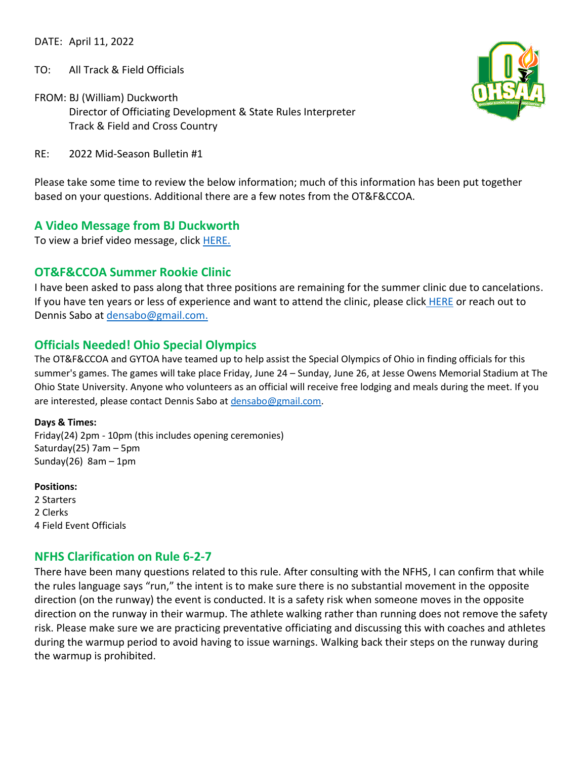DATE: April 11, 2022

TO: All Track & Field Officials

FROM: BJ (William) Duckworth Director of Officiating Development & State Rules Interpreter Track & Field and Cross Country



RE: 2022 Mid-Season Bulletin #1

Please take some time to review the below information; much of this information has been put together based on your questions. Additional there are a few notes from the OT&F&CCOA.

## **A Video Message from BJ Duckworth**

To view a brief video message, click [HERE.](https://drive.google.com/file/d/19_BZfekhylVYxxeV2QsYleoSaIUSaxeL/view?usp=sharing)

## **OT&F&CCOA Summer Rookie Clinic**

I have been asked to pass along that three positions are remaining for the summer clinic due to cancelations. If you have ten years or less of experience and want to attend the clinic, please click [HERE](https://docs.google.com/forms/d/1m2ePeWBDHurZIq1AosjVk3PBDaiMt7vkwwLMXA6mVIY/edit#responses) or reach out to Dennis Sabo at [densabo@gmail.com.](mailto:densabo@gmail.com)

## **Officials Needed! Ohio Special Olympics**

The OT&F&CCOA and GYTOA have teamed up to help assist the Special Olympics of Ohio in finding officials for this summer's games. The games will take place Friday, June 24 – Sunday, June 26, at Jesse Owens Memorial Stadium at The Ohio State University. Anyone who volunteers as an official will receive free lodging and meals during the meet. If you are interested, please contact Dennis Sabo a[t densabo@gmail.com.](densabo@gmail.com)

**Days & Times:**  Friday(24) 2pm - 10pm (this includes opening ceremonies) Saturday(25) 7am – 5pm Sunday $(26)$  8am - 1pm

**Positions:**  2 Starters 2 Clerks 4 Field Event Officials

## **NFHS Clarification on Rule 6-2-7**

There have been many questions related to this rule. After consulting with the NFHS, I can confirm that while the rules language says "run," the intent is to make sure there is no substantial movement in the opposite direction (on the runway) the event is conducted. It is a safety risk when someone moves in the opposite direction on the runway in their warmup. The athlete walking rather than running does not remove the safety risk. Please make sure we are practicing preventative officiating and discussing this with coaches and athletes during the warmup period to avoid having to issue warnings. Walking back their steps on the runway during the warmup is prohibited.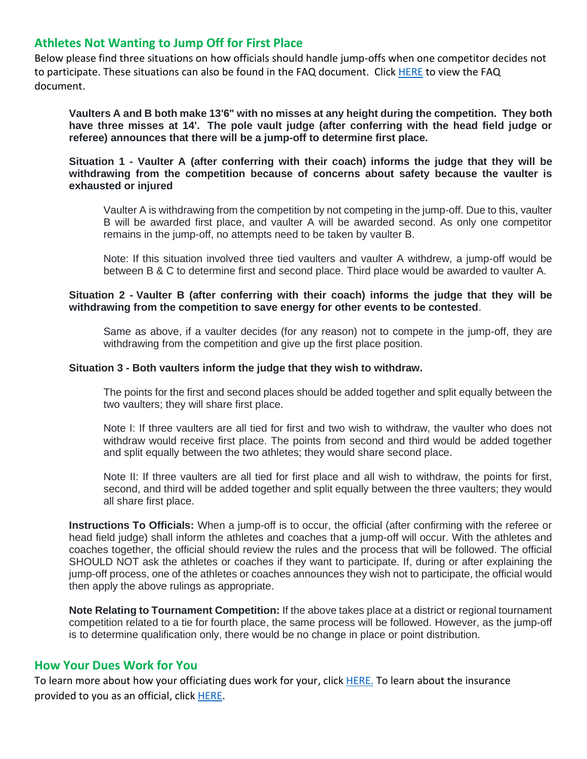## **Athletes Not Wanting to Jump Off for First Place**

Below please find three situations on how officials should handle jump-offs when one competitor decides not to participate. These situations can also be found in the FAQ document. Clic[k HERE](https://docs.google.com/document/d/16U2TOBj14DjNigKcl8K7lrSxGwNnlflBvwlBHzJHoGQ/edit) to view the FAQ document.

**Vaulters A and B both make 13'6" with no misses at any height during the competition. They both have three misses at 14'. The pole vault judge (after conferring with the head field judge or referee) announces that there will be a jump-off to determine first place.**

#### **Situation 1 - Vaulter A (after conferring with their coach) informs the judge that they will be withdrawing from the competition because of concerns about safety because the vaulter is exhausted or injured**

Vaulter A is withdrawing from the competition by not competing in the jump-off. Due to this, vaulter B will be awarded first place, and vaulter A will be awarded second. As only one competitor remains in the jump-off, no attempts need to be taken by vaulter B.

Note: If this situation involved three tied vaulters and vaulter A withdrew, a jump-off would be between B & C to determine first and second place. Third place would be awarded to vaulter A.

#### **Situation 2 - Vaulter B (after conferring with their coach) informs the judge that they will be withdrawing from the competition to save energy for other events to be contested**.

Same as above, if a vaulter decides (for any reason) not to compete in the jump-off, they are withdrawing from the competition and give up the first place position.

#### **Situation 3 - Both vaulters inform the judge that they wish to withdraw.**

The points for the first and second places should be added together and split equally between the two vaulters; they will share first place.

Note I: If three vaulters are all tied for first and two wish to withdraw, the vaulter who does not withdraw would receive first place. The points from second and third would be added together and split equally between the two athletes; they would share second place.

Note II: If three vaulters are all tied for first place and all wish to withdraw, the points for first, second, and third will be added together and split equally between the three vaulters; they would all share first place.

**Instructions To Officials:** When a jump-off is to occur, the official (after confirming with the referee or head field judge) shall inform the athletes and coaches that a jump-off will occur. With the athletes and coaches together, the official should review the rules and the process that will be followed. The official SHOULD NOT ask the athletes or coaches if they want to participate. If, during or after explaining the jump-off process, one of the athletes or coaches announces they wish not to participate, the official would then apply the above rulings as appropriate.

**Note Relating to Tournament Competition:** If the above takes place at a district or regional tournament competition related to a tie for fourth place, the same process will be followed. However, as the jump-off is to determine qualification only, there would be no change in place or point distribution.

## **How Your Dues Work for You**

To learn more about how your officiating dues work for your, click [HERE.](https://www.ohsaa.org/Officiating/dues) To learn about the insurance provided to you as an official, click [HERE.](https://ohsaaweb.blob.core.windows.net/files/Officiating/forms/OfficialsBenefitSummary.pdf)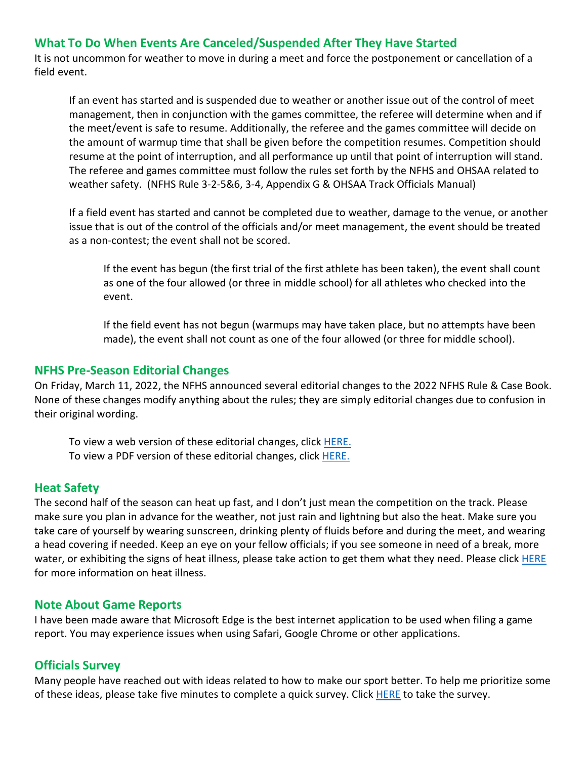# **What To Do When Events Are Canceled/Suspended After They Have Started**

It is not uncommon for weather to move in during a meet and force the postponement or cancellation of a field event.

If an event has started and is suspended due to weather or another issue out of the control of meet management, then in conjunction with the games committee, the referee will determine when and if the meet/event is safe to resume. Additionally, the referee and the games committee will decide on the amount of warmup time that shall be given before the competition resumes. Competition should resume at the point of interruption, and all performance up until that point of interruption will stand. The referee and games committee must follow the rules set forth by the NFHS and OHSAA related to weather safety. (NFHS Rule 3-2-5&6, 3-4, Appendix G & OHSAA Track Officials Manual)

If a field event has started and cannot be completed due to weather, damage to the venue, or another issue that is out of the control of the officials and/or meet management, the event should be treated as a non-contest; the event shall not be scored.

If the event has begun (the first trial of the first athlete has been taken), the event shall count as one of the four allowed (or three in middle school) for all athletes who checked into the event.

If the field event has not begun (warmups may have taken place, but no attempts have been made), the event shall not count as one of the four allowed (or three for middle school).

## **NFHS Pre-Season Editorial Changes**

On Friday, March 11, 2022, the NFHS announced several editorial changes to the 2022 NFHS Rule & Case Book. None of these changes modify anything about the rules; they are simply editorial changes due to confusion in their original wording.

To view a web version of these editorial changes, click [HERE.](https://www.nfhs.org/sports-resource-content/2022-track-field-rules-interpretations/) To view a PDF version of these editorial changes, click [HERE.](https://www.nfhs.org/media/5546445/2022-track-and-field-rules-interpretations-final-2.pdf)

## **Heat Safety**

The second half of the season can heat up fast, and I don't just mean the competition on the track. Please make sure you plan in advance for the weather, not just rain and lightning but also the heat. Make sure you take care of yourself by wearing sunscreen, drinking plenty of fluids before and during the meet, and wearing a head covering if needed. Keep an eye on your fellow officials; if you see someone in need of a break, more water, or exhibiting the signs of heat illness, please take action to get them what they need. Please click [HERE](https://www.ohsaa.org/heatillness) for more information on heat illness.

#### **Note About Game Reports**

I have been made aware that Microsoft Edge is the best internet application to be used when filing a game report. You may experience issues when using Safari, Google Chrome or other applications.

## **Officials Survey**

Many people have reached out with ideas related to how to make our sport better. To help me prioritize some of these ideas, please take five minutes to complete a quick survey. Click [HERE](https://docs.google.com/forms/d/e/1FAIpQLScyd8pmw-fQfkRDAdV-6UsstHOQXx7Kb0qRVZO6yh4C9vnqPg/viewform?usp=sf_link) to take the survey.